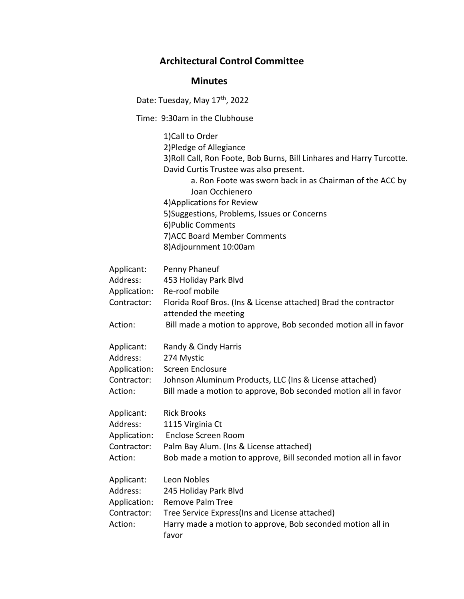## **Architectural Control Committee**

## **Minutes**

Date: Tuesday, May 17<sup>th</sup>, 2022

Time: 9:30am in the Clubhouse

1)Call to Order 2)Pledge of Allegiance 3)Roll Call, Ron Foote, Bob Burns, Bill Linhares and Harry Turcotte. David Curtis Trustee was also present. a. Ron Foote was sworn back in as Chairman of the ACC by Joan Occhienero 4)Applications for Review 5)Suggestions, Problems, Issues or Concerns 6)Public Comments 7)ACC Board Member Comments 8)Adjournment 10:00am

| Applicant:<br>Address:<br>Application:<br>Contractor:            | Penny Phaneuf<br>453 Holiday Park Blvd<br>Re-roof mobile<br>Florida Roof Bros. (Ins & License attached) Brad the contractor<br>attended the meeting                                      |
|------------------------------------------------------------------|------------------------------------------------------------------------------------------------------------------------------------------------------------------------------------------|
| Action:                                                          | Bill made a motion to approve, Bob seconded motion all in favor                                                                                                                          |
| Applicant:<br>Address:<br>Application:<br>Contractor:<br>Action: | Randy & Cindy Harris<br>274 Mystic<br>Screen Enclosure<br>Johnson Aluminum Products, LLC (Ins & License attached)<br>Bill made a motion to approve, Bob seconded motion all in favor     |
| Applicant:<br>Address:<br>Application:<br>Contractor:<br>Action: | <b>Rick Brooks</b><br>1115 Virginia Ct<br>Enclose Screen Room<br>Palm Bay Alum. (Ins & License attached)<br>Bob made a motion to approve, Bill seconded motion all in favor              |
| Applicant:<br>Address:<br>Application:<br>Contractor:<br>Action: | Leon Nobles<br>245 Holiday Park Blvd<br><b>Remove Palm Tree</b><br>Tree Service Express(Ins and License attached)<br>Harry made a motion to approve, Bob seconded motion all in<br>favor |